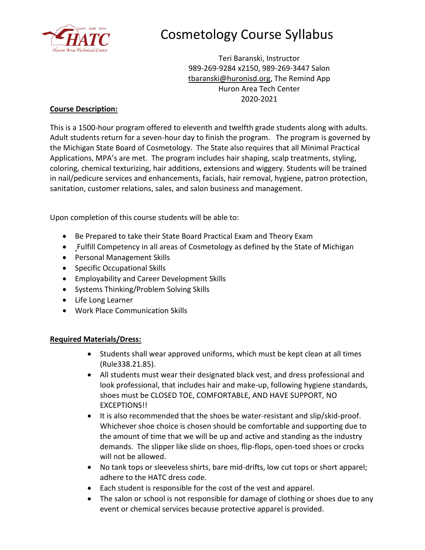

# Cosmetology Course Syllabus

Teri Baranski, Instructor 989-269-9284 x2150, 989-269-3447 Salon [tbaranski@huronisd.org,](mailto:tbaranski@huronisd.org) The Remind App Huron Area Tech Center 2020-2021

## **Course Description:**

This is a 1500-hour program offered to eleventh and twelfth grade students along with adults. Adult students return for a seven-hour day to finish the program. The program is governed by the Michigan State Board of Cosmetology. The State also requires that all Minimal Practical Applications, MPA's are met. The program includes hair shaping, scalp treatments, styling, coloring, chemical texturizing, hair additions, extensions and wiggery. Students will be trained in nail/pedicure services and enhancements, facials, hair removal, hygiene, patron protection, sanitation, customer relations, sales, and salon business and management.

Upon completion of this course students will be able to:

- Be Prepared to take their State Board Practical Exam and Theory Exam
- Fulfill Competency in all areas of Cosmetology as defined by the State of Michigan
- Personal Management Skills
- Specific Occupational Skills
- Employability and Career Development Skills
- Systems Thinking/Problem Solving Skills
- Life Long Learner
- Work Place Communication Skills

## **Required Materials/Dress:**

- Students shall wear approved uniforms, which must be kept clean at all times (Rule338.21.85).
- All students must wear their designated black vest, and dress professional and look professional, that includes hair and make-up, following hygiene standards, shoes must be CLOSED TOE, COMFORTABLE, AND HAVE SUPPORT, NO EXCEPTIONS!!
- It is also recommended that the shoes be water-resistant and slip/skid-proof. Whichever shoe choice is chosen should be comfortable and supporting due to the amount of time that we will be up and active and standing as the industry demands. The slipper like slide on shoes, flip-flops, open-toed shoes or crocks will not be allowed.
- No tank tops or sleeveless shirts, bare mid-drifts, low cut tops or short apparel; adhere to the HATC dress code.
- Each student is responsible for the cost of the vest and apparel.
- The salon or school is not responsible for damage of clothing or shoes due to any event or chemical services because protective apparel is provided.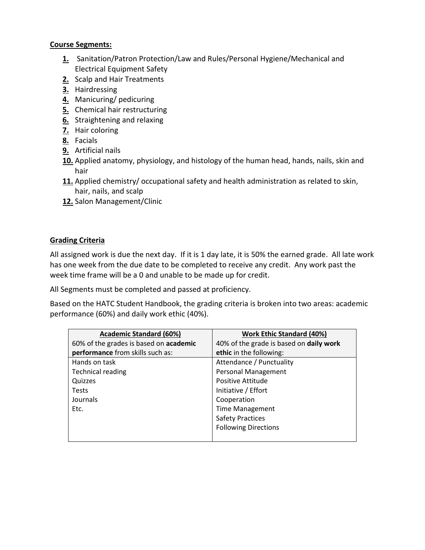#### **Course Segments:**

- **1.** Sanitation/Patron Protection/Law and Rules/Personal Hygiene/Mechanical and Electrical Equipment Safety
- **2.** Scalp and Hair Treatments
- **3.** Hairdressing
- **4.** Manicuring/ pedicuring
- **5.** Chemical hair restructuring
- **6.** Straightening and relaxing
- **7.** Hair coloring
- **8.** Facials
- **9.** Artificial nails
- **10.** Applied anatomy, physiology, and histology of the human head, hands, nails, skin and hair
- **11.** Applied chemistry/ occupational safety and health administration as related to skin, hair, nails, and scalp
- **12.** Salon Management/Clinic

## **Grading Criteria**

All assigned work is due the next day. If it is 1 day late, it is 50% the earned grade. All late work has one week from the due date to be completed to receive any credit. Any work past the week time frame will be a 0 and unable to be made up for credit.

All Segments must be completed and passed at proficiency.

Based on the HATC Student Handbook, the grading criteria is broken into two areas: academic performance (60%) and daily work ethic (40%).

| <b>Academic Standard (60%)</b>         | <b>Work Ethic Standard (40%)</b>        |
|----------------------------------------|-----------------------------------------|
| 60% of the grades is based on academic | 40% of the grade is based on daily work |
| performance from skills such as:       | ethic in the following:                 |
| Hands on task                          | Attendance / Punctuality                |
| <b>Technical reading</b>               | Personal Management                     |
| Quizzes                                | Positive Attitude                       |
| <b>Tests</b>                           | Initiative / Effort                     |
| Journals                               | Cooperation                             |
| Etc.                                   | <b>Time Management</b>                  |
|                                        | <b>Safety Practices</b>                 |
|                                        | <b>Following Directions</b>             |
|                                        |                                         |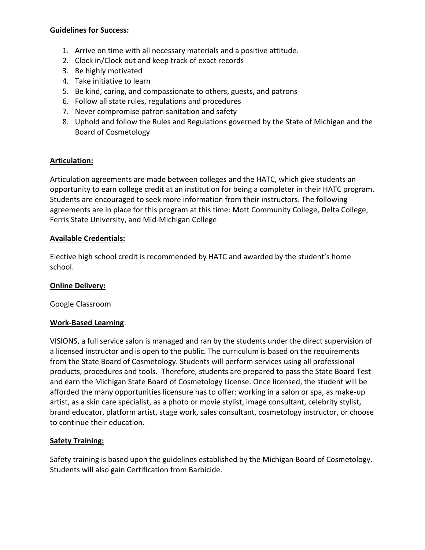#### **Guidelines for Success:**

- 1. Arrive on time with all necessary materials and a positive attitude.
- 2. Clock in/Clock out and keep track of exact records
- 3. Be highly motivated
- 4. Take initiative to learn
- 5. Be kind, caring, and compassionate to others, guests, and patrons
- 6. Follow all state rules, regulations and procedures
- 7. Never compromise patron sanitation and safety
- 8. Uphold and follow the Rules and Regulations governed by the State of Michigan and the Board of Cosmetology

## **Articulation:**

Articulation agreements are made between colleges and the HATC, which give students an opportunity to earn college credit at an institution for being a completer in their HATC program. Students are encouraged to seek more information from their instructors. The following agreements are in place for this program at this time: Mott Community College, Delta College, Ferris State University, and Mid-Michigan College

## **Available Credentials:**

Elective high school credit is recommended by HATC and awarded by the student's home school.

## **Online Delivery:**

Google Classroom

## **Work-Based Learning**:

VISIONS, a full service salon is managed and ran by the students under the direct supervision of a licensed instructor and is open to the public. The curriculum is based on the requirements from the State Board of Cosmetology. Students will perform services using all professional products, procedures and tools. Therefore, students are prepared to pass the State Board Test and earn the Michigan State Board of Cosmetology License. Once licensed, the student will be afforded the many opportunities licensure has to offer: working in a salon or spa, as make-up artist, as a skin care specialist, as a photo or movie stylist, image consultant, celebrity stylist, brand educator, platform artist, stage work, sales consultant, cosmetology instructor, or choose to continue their education.

## **Safety Training:**

Safety training is based upon the guidelines established by the Michigan Board of Cosmetology. Students will also gain Certification from Barbicide.